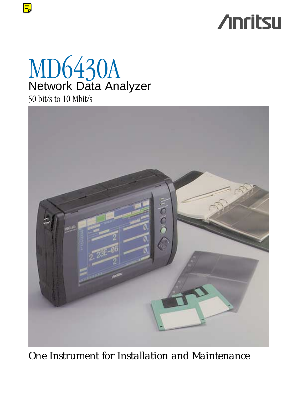



50 bit/s to 10 Mbit/s

 $\boxed{=}$ 



*One Instrument for Installation and Maintenance*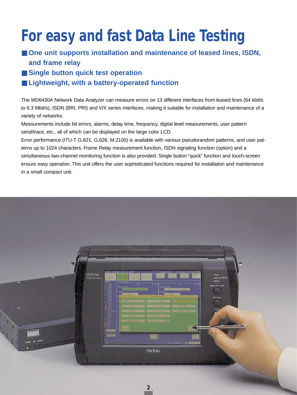# **For easy and fast Data Line Testing**

## ■ One unit supports installation and maintenance of leased lines, ISDN, **and frame relay**

■ **Single button quick test operation** 

■ Lightweight, with a battery-operated function

The MD6430A Network Data Analyzer can measure errors on 13 different interfaces from leased lines (64 kbit/s to 6.3 Mbit/s), ISDN (BRI, PRI) and V/X series interfaces, making it suitable for installation and maintenance of a variety of networks.

Measurements include bit errors, alarms, delay time, frequency, digital level measurements, user pattern send/trace, etc., all of which can be displayed on the large color LCD.

Error performance (ITU-T G.821, G.826, M.2100) is available with various pseudorandom patterns, and user patterns up to 1024 characters. Frame Relay measurement function, ISDN signaling function (option) and a simultaneous two-channel monitoring function is also provided. Single button "quick" function and touch-screen ensure easy operation. This unit offers the user sophisticated functions required for installation and maintenance in a small compact unit.



**2**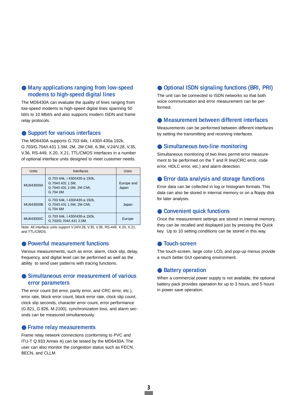### ● **Many applications ranging from low-speed modems to high-speed digital lines**

The MD6430A can evaluate the quality of lines ranging from low-speed modems to high-speed digital lines spanning 50 bit/s to 10 Mbit/s and also supports modern ISDN and frame relay protocols.

#### ● **Support for various interfaces**

The MD6430A supports G.703 64k, I.430/I-430a 192k, G.703/G.704/I.431 1.5M, 2M, 2M CMI, 6.3M, V.24/V.28, V.35, V.36, RS-449, X.20, X.21, TTL/CMOS interfaces in a number of optional interface units designed to meet customer needs.

| Units     | Interfaces                                                                                  | Uses                |
|-----------|---------------------------------------------------------------------------------------------|---------------------|
| MU643000A | G.703 64k, I.430/I430-a 192k,<br>G.704/I.431 1.5M,<br>G.704/I.431 2.0M, 2M CMI,<br>G.704 6M | Europe and<br>Japan |
| MU643000B | G.703 64k, I.430/I430-a 192k,<br>G.704/I.431 1.5M, 2M CMI,<br>G.704 6M                      | Japan               |
| MU643000C | G.703 64k, I.430/I430-a 192k,<br>G.703/G.704/I.431 2.0M                                     | Europe              |

Note: All interface units support V.24/V.28, V.35, V.36, RS-449, X.20, X.21, and TTL/CMOS.

#### ● Powerful measurement functions

Various measurements, such as error, alarm, clock slip, delay, frequency, and digital level can be performed as well as the ability to send user patterns with tracing functions.

#### ● Simultaneous error measurement of various **error parameters**

The error count (bit error, parity error, and CRC error, etc.), error rate, block error count, block error rate, clock slip count, clock slip seconds, character error count, error performance (G.821, G.826, M.2100), synchronization loss, and alarm seconds can be measured simultaneously.

#### ● **Frame relay measurements**

Frame relay network connections (conforming to PVC and ITU-T Q.933 Annex A) can be tested by the MD6430A. The user can also monitor the congestion status such as FECN, BECN, and CLLM.

## ● **Optional ISDN signaling functions (BRI, PRI)**

The unit can be connected to ISDN networks so that both voice communication and error measurement can be performed.

#### ● **Measurement between different interfaces**

Measurements can be performed between different interfaces by setting the transmitting and receiving interfaces.

#### ● **Simultaneous two-line monitoring**

Simultaneous monitoring of two lines permit error measurement to be performed on the T and R line(CRC error, code error, HDLC error, etc.) and alarm detection.

#### ● **Error data analysis and storage functions**

Error data can be collected in log or histogram formats. This data can also be stored in internal memory or on a floppy disk for later analysis.

## ● **Convenient quick functions**

Once the measurement settings are stored in internal memory, they can be recalled and displayed just by pressing the Quick key. Up to 10 setting conditions can be stored in this way.

#### ● **Touch-screen**

The touch-screen, large color LCD, and pop-up menus provide a much better GUI operating environment.

#### ● **Battery operation**

When a commercial power supply is not available, the optional battery pack provides operation for up to 3 hours, and 5 hours in power save operation.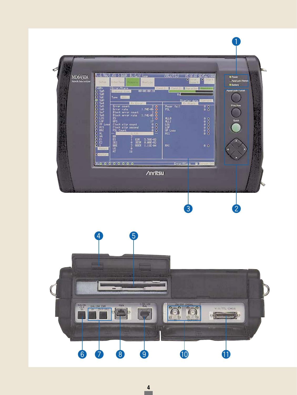

**4**  $\sim 100$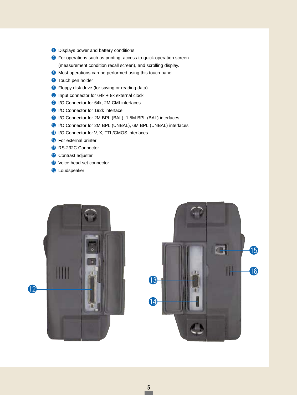- **Q** Displays power and battery conditions
- 2 For operations such as printing, access to quick operation screen (measurement condition recall screen), and scrolling display.
- **B** Most operations can be performed using this touch panel.
- 4 Touch pen holder
- **5** Floppy disk drive (for saving or reading data)
- $\bullet$  Input connector for 64k + 8k external clock
- 1/O Connector for 64k, 2M CMI interfaces
- <sup>8</sup> I/O Connector for 192k interface
- o I/O Connector for 2M BPL (BAL), 1.5M BPL (BAL) interfaces
- !0I/O Connector for 2M BPL (UNBAL), 6M BPL (UNBAL) interfaces
- **1** I/O Connector for V, X, TTL/CMOS interfaces
- <sup>2</sup> For external printer
- <sup>8</sup> RS-232C Connector
- <sup>1</sup> Contrast adjuster
- **15** Voice head set connector
- **16** Loudspeaker



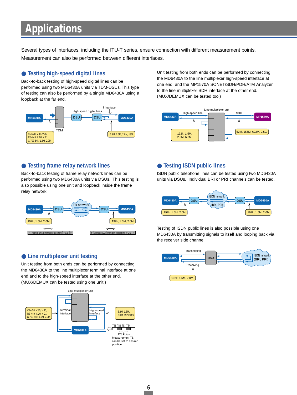## **Applications**

Several types of interfaces, including the ITU-T series, ensure connection with different measurement points. Measurement can also be performed between different interfaces.

## ● **Testing high-speed digital lines**

Back-to-back testing of high-speed digital lines can be performed using two MD6430A units via TDM-DSUs. This type of testing can also be performed by a single MD6430A using a loopback at the far end.



Unit testing from both ends can be performed by connecting the MD6430A to the line multiplexer high-speed interface at one end, and the MP1570A SONET/SDH/PDH/ATM Analyzer to the line multiplexer SDH interface at the other end. (MUX/DEMUX can be tested too.)



## ● **Testing frame relay network lines**

Back-to-back testing of frame relay network lines can be performed using two MD6430A units via DSUs. This testing is also possible using one unit and loopback inside the frame relay network.



## ● Line multiplexer unit testing

Unit testing from both ends can be performed by connecting the MD6430A to the line multiplexer terminal interface at one end and to the high-speed interface at the other end. (MUX/DEMUX can be tested using one unit.)



## ● **Testing ISDN public lines**

ISDN public telephone lines can be tested using two MD6430A units via DSUs. Individual BRI or PRI channels can be tested.



Testing of ISDN public lines is also possible using one MD6430A by transmitting signals to itself and looping back via the receiver side channel.

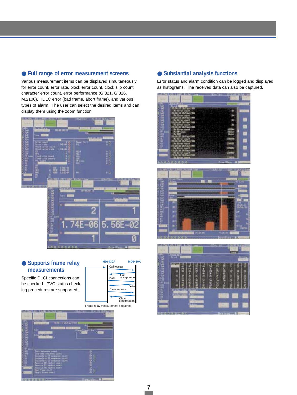## ● **Full range of error measurement screens**

Various measurement items can be displayed simultaneously for error count, error rate, block error count, clock slip count, character error count, error performance (G.821, G.826, M.2100), HDLC error (bad frame, abort frame), and various types of alarm. The user can select the desired items and can display them using the zoom function.



## ● **Supports frame relay measurements**

Specific DLCI connections can be checked. PVC status checking procedures are supported.



Frame relay measurement sequence



## ● **Substantial analysis functions**

Error status and alarm condition can be logged and displayed as histograms. The received data can also be captured.



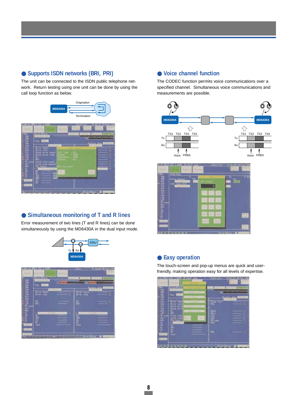

● **Supports ISDN networks (BRI, PRI)** 

The unit can be connected to the ISDN public telephone net-

## ● **Simultaneous monitoring of T and R lines**

Error measurement of two lines (T and R lines) can be done simultaneously by using the MD6430A in the dual input mode.





## ● **Voice channel function**

The CODEC function permits voice communications over a specified channel. Simultaneous voice communications and measurements are possible.



## ● **Easy operation**

The touch-screen and pop-up menus are quick and userfriendly, making operation easy for all levels of expertise.

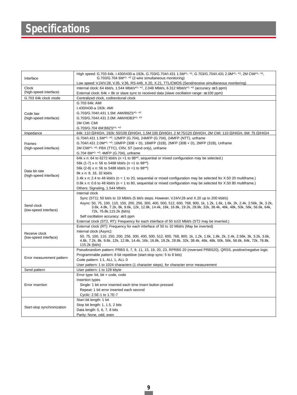## **Specifications**

| Interface                  | High speed: G.703 64k, I.430/1430-a 192k, G.703/G.704/I.431 1.5M <sup>*1, *2</sup> , G.703/G.704/I.431 2.0M <sup>*1, *3</sup> , 2M CMI <sup>*1, *2</sup> ,<br>G.703/G.704 $6M^{*1}$ , $*2$ (2-wire simultaneous monitoring)                         |  |  |  |
|----------------------------|-----------------------------------------------------------------------------------------------------------------------------------------------------------------------------------------------------------------------------------------------------|--|--|--|
|                            | Low speed: V.24/V.28, V.35, V.36, RS-449, X.20, X.21, TTL/CMOS (Send/receive simultaneous monitoring)                                                                                                                                               |  |  |  |
| Clock                      | Internal clock: 64 kbit/s, 1.544 Mbit/s <sup>*1, *2</sup> , 2.048 Mbit/s, 6.312 Mbit/s <sup>*1, *2</sup> (accuracy $\leq \pm 5$ ppm)                                                                                                                |  |  |  |
| (high-speed interface)     | External clock: 64k + 8k or slave sync to received data (slave oscillation range: $\leq \pm 100$ ppm)                                                                                                                                               |  |  |  |
| G.703 64k clock mode       | Centralized clock, codirectional clock                                                                                                                                                                                                              |  |  |  |
|                            | G.703 64k: AMI                                                                                                                                                                                                                                      |  |  |  |
|                            | I.430/I430-a 192k: AMI                                                                                                                                                                                                                              |  |  |  |
| Code law                   | G.703/G.704/I.431 1.5M: AMI/B8ZS*1, *2                                                                                                                                                                                                              |  |  |  |
| (high-speed interface)     | G.703/G.704/I.431 2.0M: AMI/HDB3*1, *3                                                                                                                                                                                                              |  |  |  |
|                            | 2M CMI: CMI                                                                                                                                                                                                                                         |  |  |  |
|                            | G.703/G.704 6M:B8ZS*1, *2                                                                                                                                                                                                                           |  |  |  |
| Impedance                  | 64k: 110 Ω/HIGH, 192k: 50/100 Ω/HIGH, 1.5M:100 Ω/HIGH, 2 M:75/120 Ω/HIGH, 2M CMI: 110 Ω/HIGH, 6M: 75 Ω/HIGH                                                                                                                                         |  |  |  |
|                            | G.704/1.431 1.5M <sup>*1, *2</sup> : 12MFP (G.704), 24MFP (G.704), 24MFP (NTT), unframe                                                                                                                                                             |  |  |  |
| Frames                     | G.704/I.431 2.0M*1, *3: 16MFP (30B + D), 16MFP (31B), 2MFP (30B + D), 2MFP (31B), Unframe                                                                                                                                                           |  |  |  |
| (high-speed interface)     | 2M CMI <sup>*1, *2</sup> : PBX (TTC), CRV, ST (send only), unframe                                                                                                                                                                                  |  |  |  |
|                            | G.704 6M <sup>*1, *2</sup> : 4MFP (G.704), unframe                                                                                                                                                                                                  |  |  |  |
|                            | 64k x n: 64 to 6272 kbit/s (n =1 to $98*4$ , sequential or mixed configuration may be selected.)                                                                                                                                                    |  |  |  |
|                            | 56k (1-7) x n: 56 to 5488 kbit/s (n =1 to 98 <sup>*4</sup> )                                                                                                                                                                                        |  |  |  |
| Data bit rate              | 56k (2-8) x n: 56 to 5488 kbit/s (n = 1 to 98 <sup>*4</sup> )                                                                                                                                                                                       |  |  |  |
| (high-speed interface)     | 8k x n: 8, 16, 32 kbit/s                                                                                                                                                                                                                            |  |  |  |
|                            | 2.4k x n: 2.4 to 48 kbit/s ( $n = 1$ to 20, sequential or mixed configuration may be selected for X.50 20 multiframe.)                                                                                                                              |  |  |  |
|                            | 0.6k x n: 0.6 to 48 kbit/s ( $n = 1$ to 80, sequential or mixed configuration may be selected for X.50 80 multiframe.)                                                                                                                              |  |  |  |
|                            | Others: Signaling, 1.544 Mbit/s                                                                                                                                                                                                                     |  |  |  |
|                            | Internal clock                                                                                                                                                                                                                                      |  |  |  |
|                            | Sync (ST1): 50 bit/s to 10 Mbit/s (5 bit/s steps. However, V.24/V.28 and X.20 up to 200 kbit/s)                                                                                                                                                     |  |  |  |
| Send clock                 | Async: 50, 75, 100, 110, 150, 200, 256, 300, 400, 500, 512, 600, 768, 800, 1k, 1.2k, 1.6k, 1.8k, 2k, 2.4k, 2.56k, 3k, 3.2k,<br>3.6k, 4.8k, 7.2k, 8k, 9.6k, 12k, 12.8k, 14.4k, 16k, 16.8k, 19.2k, 28.8k, 32k, 38.4k, 46k, 48k, 50k, 56k, 56.6k, 64k, |  |  |  |
| (low-speed interface)      | 72k, 76.8k, 115.2k (bit/s)                                                                                                                                                                                                                          |  |  |  |
|                            | Self oscillation accuracy: ≤±5 ppm                                                                                                                                                                                                                  |  |  |  |
|                            | External clock (ST2, RT): Frequency for each interface of 50 to 10 Mbit/s (ST2 may be inverted.)                                                                                                                                                    |  |  |  |
|                            | External clock (RT): Frequency for each interface of 50 to 10 Mbit/s (May be inverted)                                                                                                                                                              |  |  |  |
| Receive clock              | Internal clock (Async):                                                                                                                                                                                                                             |  |  |  |
| (low-speed interface)      | 50, 75, 100, 110, 150, 200, 256, 300, 400, 500, 512, 600, 768, 800, 1k, 1.2k, 1.6k, 1.8k, 2k, 2.4k, 2.56k, 3k, 3.2k, 3.6k,                                                                                                                          |  |  |  |
|                            | 4.8k, 7.2k, 8k, 9.6k, 12k, 12.8k, 14.4k, 16k, 16.8k, 19.2k, 28.8k, 32k, 38.4k, 46k, 48k, 50k, 56k, 56.6k, 64k, 72k, 76.8k,                                                                                                                          |  |  |  |
|                            | 115.2k (bit/s)                                                                                                                                                                                                                                      |  |  |  |
|                            | Pseudorandom pattern: PRBS 6, 7, 9, 11, 15, 19, 20, 23, RPRBS 20 (reversed PRBS20), QRSS, positive/negative logic                                                                                                                                   |  |  |  |
| Error measurement pattern  | Programmable pattern: 8 bit repetitive (start-stop sync: 5 to 8 bits)                                                                                                                                                                               |  |  |  |
|                            | Code pattern: 1:1, ALL 1, ALL 0                                                                                                                                                                                                                     |  |  |  |
|                            | User pattern: 1 to 1024 characters (1 character steps), for character error measurement                                                                                                                                                             |  |  |  |
| Send pattern               | User pattern: 1 to 128 kbyte                                                                                                                                                                                                                        |  |  |  |
|                            | Error type: bit, bit + code, code                                                                                                                                                                                                                   |  |  |  |
|                            | Insertion types                                                                                                                                                                                                                                     |  |  |  |
| Error insertion            | Single: 1 bit error inserted each time insert button pressed<br>Repeat: 1 bit error inserted each second                                                                                                                                            |  |  |  |
|                            |                                                                                                                                                                                                                                                     |  |  |  |
|                            | Cyclic: 2.5E-1 to 1.7E-7<br>Start bit length: 1 bit                                                                                                                                                                                                 |  |  |  |
|                            | Stop bit length: 1, 1.5, 2 bits                                                                                                                                                                                                                     |  |  |  |
| Start-stop synchronization | Data length: 5, 6, 7, 8 bits                                                                                                                                                                                                                        |  |  |  |
|                            | Parity: None, odd, even                                                                                                                                                                                                                             |  |  |  |
|                            |                                                                                                                                                                                                                                                     |  |  |  |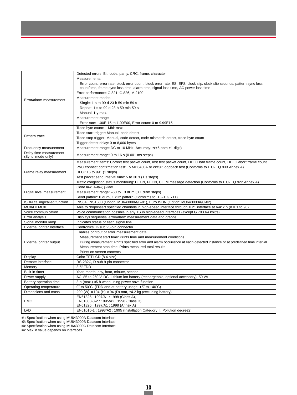|                                             | Detected errors: Bit, code, parity, CRC, frame, character                                                                |  |  |
|---------------------------------------------|--------------------------------------------------------------------------------------------------------------------------|--|--|
|                                             | Measurements:                                                                                                            |  |  |
|                                             | Error count, error rate, block error count, block error rate, ES, EFS, clock slip, clock slip seconds, pattern sync loss |  |  |
|                                             | count/time, frame sync loss time, alarm time, signal loss time, AC power loss time                                       |  |  |
|                                             | Error performance: G.821, G.826, M.2100                                                                                  |  |  |
| Error/alarm measurement                     | Measurement modes                                                                                                        |  |  |
|                                             | Single: 1 s to 99 d 23 h 59 min 59 s                                                                                     |  |  |
|                                             | Repeat: 1 s to 99 d 23 h 59 min 59 s                                                                                     |  |  |
|                                             | Manual: 1 y max.                                                                                                         |  |  |
|                                             | Measurement range                                                                                                        |  |  |
|                                             | Error rate: 1.00E-15 to 1.00E00, Error count: 0 to 9.99E15                                                               |  |  |
|                                             | Trace byte count: 1 Mbit max.                                                                                            |  |  |
| Pattern trace                               | Trace start trigger: Manual, code detect                                                                                 |  |  |
|                                             | Trace stop trigger: Manual, code detect, code mismatch detect, trace byte count                                          |  |  |
|                                             | Trigger detect delay: 0 to 8,000 bytes                                                                                   |  |  |
| Frequency measurement                       | Measurement range: DC to 10 MHz, Accuracy: $\leq$ (±5 ppm ±1 digit)                                                      |  |  |
| Delay time measurement<br>(Sync. mode only) | Measurement range: 0 to 16 s (0.001 ms steps)                                                                            |  |  |
|                                             | Measurement items: Correct test packet count, lost test packet count, HDLC bad frame count, HDLC abort frame count       |  |  |
|                                             | PVC connect confirmation test: To MD6430A or circuit loopback test (Conforms to ITU-T Q.933 Annex A)                     |  |  |
| Frame relay measurement                     | DLCI: 16 to 991 (1 steps)                                                                                                |  |  |
|                                             | Test packet send interval time: 5 to 30 s (1 s steps)                                                                    |  |  |
|                                             | Traffic congestion status monitoring: BECN, FECN, CLLM message detection (Conforms to ITU-T Q.922 Annex A)               |  |  |
|                                             | Code law: A-law, µ-law                                                                                                   |  |  |
| Digital level measurement                   | Measurement range: -60 to +3 dBm (0.1 dBm steps)                                                                         |  |  |
|                                             | Send pattern: 0 dBm, 1 kHz pattern (Conforms to ITU-T G.711)                                                             |  |  |
| ISDN calling/called function                | INS64, INS1500 (Option: MU643000A/B-01), Euro ISDN (Option: MU643000A/C-02)                                              |  |  |
| MUX/DEMUX                                   | Able to drop/insert specified channels in high-speed interface through X.21 interface at 64k x n (n = 1 to 98)           |  |  |
| Voice communication                         | Voice communication possible in any TS in high-speed interfaces (except G.703 64 kbit/s)                                 |  |  |
| Error analysis                              | Displays sequential error/alarm measurement data and graphs                                                              |  |  |
| Signal monitor lamp                         | Indicates status of each signal line                                                                                     |  |  |
| External printer Interface                  | Centronics, D-sub 25-pin connector                                                                                       |  |  |
|                                             | Enables printout of error measurement data                                                                               |  |  |
|                                             | Measurement start time: Prints time and measurement conditions                                                           |  |  |
| External printer output                     | During measurement: Prints specified error and alarm occurrence at each detected instance or at predefined time interval |  |  |
|                                             | Measurement stop time: Prints measured total results                                                                     |  |  |
|                                             | Prints on screen contents                                                                                                |  |  |
| Display                                     | Color TFT-LCD (8.4 size)                                                                                                 |  |  |
| Remote interface                            | RS-232C, D-sub 9-pin connector                                                                                           |  |  |
| Memory                                      | 3.5" FDD                                                                                                                 |  |  |
| <b>Built-in timer</b>                       | Year, month, day, hour, minute, second                                                                                   |  |  |
| Power supply                                | AC: 85 to 250 V, DC: Lithium ion battery (rechargeable, optional accessory), 50 VA                                       |  |  |
| Battery operation time                      | 3 h (max.) *5 h when using power save function                                                                           |  |  |
| Operating temperature                       | 0° to 50°C, (FDD and at battery usage: $+5^\circ$ to $+40^\circ$ C)                                                      |  |  |
| Dimensions and mass                         | 290 (W) $\times$ 194 (H) $\times$ 94 (D) mm, ≤4.2 kg (excluding battery)                                                 |  |  |
|                                             | EN61326: 1997/A1: 1998 (Class A),                                                                                        |  |  |
| <b>EMC</b>                                  | EN61000-3-2: 1995/A2: 1998 (Class D)                                                                                     |  |  |
|                                             | EN61326: 1997/A1: 1998 (Annex A)                                                                                         |  |  |
| <b>LVD</b>                                  | EN61010-1: 1993/A2: 1995 (Installation Category II, Pollution degree2)                                                   |  |  |

∗1: Specification when using MU643000A Datacom Interface

∗2: Specification when using MU643000B Datacom Interface

∗3: Specification when using MU643000C Datacom Interface

∗4: Max. n value depends on interfaces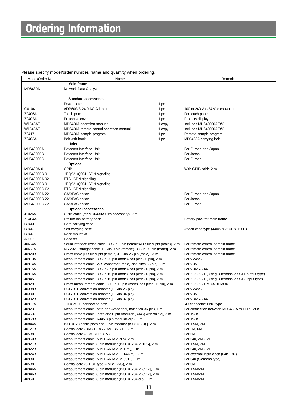## **Ordering Information**

Please specify model/order number, name and quantity when ordering.

| Model/Order No. | Name                                                                        |  | Remarks                                             |
|-----------------|-----------------------------------------------------------------------------|--|-----------------------------------------------------|
|                 | <b>Main frame</b>                                                           |  |                                                     |
| MD6430A         | Network Data Analyzer                                                       |  |                                                     |
|                 |                                                                             |  |                                                     |
|                 | <b>Standard accessories</b>                                                 |  |                                                     |
|                 | Power cord:<br>1 pc                                                         |  |                                                     |
| G0104           | ADP60WB-24.0 AC Adapter:<br>1 pc                                            |  | 100 to 240 Vac/24 Vdc converter                     |
| Z0406A          | Touch pen:                                                                  |  | For touch panel                                     |
| Z0402A          | 1 pc                                                                        |  |                                                     |
|                 | Protective cover:<br>1 pc                                                   |  | Protects display                                    |
| W1542AE         | MD6430A operation manual:<br>1 copy                                         |  | Includes MU643000A/B/C                              |
| W1543AE         | MD6430A remote control operation manual:<br>1 copy                          |  | Includes MU643000A/B/C                              |
| Z0417           | MD6430A sample program:<br>1 pc                                             |  | Remote sample program                               |
| Z0403A          | Belt with hook:<br>1 pc                                                     |  | MD6430A carrying belt                               |
|                 | Units                                                                       |  |                                                     |
| MU643000A       | Datacom Interface Unit                                                      |  | For Europe and Japan                                |
| MU643000B       | Datacom Interface Unit                                                      |  | For Japan                                           |
| MU643000C       | Datacom Interface Unit                                                      |  | For Europe                                          |
|                 | <b>Options</b>                                                              |  |                                                     |
| MD6430A-01      | <b>GPIB</b>                                                                 |  | With GPIB cable 2 m                                 |
| MU643000B-01    | JT-Q921/Q931 ISDN signaling                                                 |  |                                                     |
| MU643000A-02    | ETSI ISDN signaling                                                         |  |                                                     |
| MU643000B-01    | JT-Q921/Q931 ISDN signaling                                                 |  |                                                     |
| MU643000C-02    | ETSI ISDN signaling                                                         |  |                                                     |
| MU643000A-22    | CAS/FAS option                                                              |  | For Europe and Japan                                |
| MU643000B-22    | CAS/FAS option                                                              |  | For Japan                                           |
| MU643000C-22    | CAS/FAS option                                                              |  | For Europe                                          |
|                 | <b>Optional accessories</b>                                                 |  |                                                     |
| J1026A          | GPIB cable (for MD6430A-01's accessory), 2 m                                |  |                                                     |
| Z0404A          | Lithium ion battery pack                                                    |  | Battery pack for main frame                         |
| B0441           | Hard carrying case                                                          |  |                                                     |
| B0442           | Soft carrying case                                                          |  | Attach case type (440W x 310H x 110D)               |
| B0443           | Rack mount kit                                                              |  |                                                     |
| A0006           | Headset                                                                     |  |                                                     |
| J0654A          |                                                                             |  | For remote control of main frame                    |
| J0661A          | Serial interface cross cable [D-Sub 9-pin (female) D-Sub 9-pin (male)], 2 m |  | For remote control of main frame                    |
| J0920B          | RS-232C straight cable [D-Sub 9-pin (female) D-Sub 25-pin (male)], 2 m      |  | For remote control of main frame                    |
|                 | Cross cable [D-Sub 9-pin (female) D-Sub 25-pin (male)], 3 m                 |  |                                                     |
| J0913A          | Measurement cable [D-Sub 25-pin (male) • half pich 36-pin], 2 m             |  | For V.24/V.28                                       |
| J0914A          | Measurement cable [V.35 connector (male) • half pitch 36-pin), 2 m          |  | For V.35                                            |
| J0915A          | Measurement cable [D-Sub 37-pin (male) • half pitch 36-pin], 2 m            |  | For V.36/RS-449                                     |
| J0916A          | Measurement cable [D-Sub 15-pin (male) • half pitch 36-pin], 2 m            |  | For X.20/X.21 (Using B terminal as ST1 output type) |
| J0945           | Measurement cable [D-Sub 15-pin (male) • half pitch 36-pin], 2 m            |  | For X.20/X.21 (Using B terminal as ST2 input type)  |
| J0929           | Cross measurement cable [D-Sub 15-pin (male) half pitch 36-pin], 2 m        |  | For X.20/X.21 MUX/DEMUX                             |
| J0388B          | DCE/DTE conversion adapter (D-Sub 25-pin)                                   |  | For V.24/V.28                                       |
| J0390           | DCE/DTE conversion adapter (D-Sub 34-pin)                                   |  | For V.35                                            |
| J0392B          | DCE/DTE conversion adapter (D-Sub 37-pin)                                   |  | For V.36/RS-449                                     |
| J0917A          | TTL/CMOS connection box*1                                                   |  | I/O connector: BNC type                             |
| J0923           | Measurement cable (both-end Amphenol, half pitch 36-pin), 1 m               |  | For connection between MD6430A to TTL/CMOS          |
| J0463C          | Measurement cable [both-end 8-pin modular (RJ45) with shield], 2 m          |  | <b>For 192k</b>                                     |
| J0959B          | Measurement cable (RJ45 8-pin modular-clip), 2 m                            |  | For 192k                                            |
| J0844A          | ISO10173 cable [both-end 8-pin modular (ISO10173)], 2 m                     |  | For 1.5M, 2M                                        |
| J0127B          | Coaxial cord (BNC-P-RG58A/U-BNC-P), 2 m                                     |  | For 2M, 6M                                          |
| J0538           | Coaxial cord (3CV-CPP-3CV)                                                  |  | For 6M                                              |
| J0960B          | Measurement cable (Mini-BANTAM-clip), 2 m                                   |  | For 64k, 2M CMI                                     |
| J0921B          | Measurement cable [8-pin modular (ISO10173) · M-1PS], 2 m                   |  | For 1.5M, 2M                                        |
| J0922B          | Measurement cable (Mini-BANTAM-M-1PS), 2 m                                  |  | For 64k, 2M CMI                                     |
| J0924B          | Measurement cable (Mini-BANTAM-I-214APS), 2 m                               |  | For external input clock $(64k + 8k)$               |
| J0930           | Measurement cable (Mini-BANTAM-M-3912), 2 m                                 |  | For 64k (Siemens type)                              |
| J0538           | Coaxial cord (C-H3T type A plug-BNC), 2 m                                   |  | For 6M                                              |
| J0946A          | Measurement cable [8-pin modular (ISO10173) M-3912], 1 m                    |  | For 1.5M/2M                                         |
| J0946B          | Measurement cable [8-pin modular (ISO10173) • M-3912], 2 m                  |  | For 1.5M/2M                                         |
| J0950           | Measurement cable [8-pin modular (ISO10173) • clip], 2 m                    |  | For 1.5M/2M                                         |